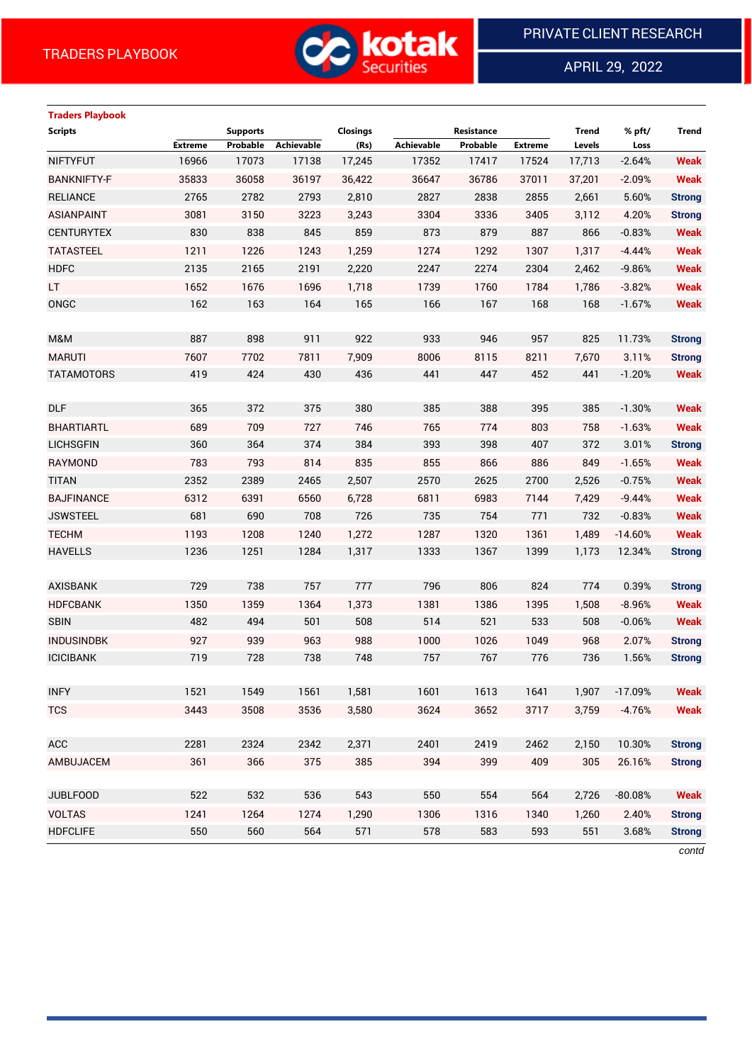

APRIL 29, 2022

 $\overline{a}$ 

# **Traders Playbook Scripts Supports Closings Resistance Trend % pft/ Trend Extreme Probable Achievable (Rs) Achievable Probable Extreme Levels Loss** NIFTYFUT 16966 17073 17138 17,245 17352 17417 17524 17,713 -2.64% **Weak** BANKNIFTY-F 35833 36058 36197 36,422 36647 36786 37011 37,201 -2.09% **Weak** RELIANCE 2765 2782 2793 2,810 2827 2838 2855 2,661 5.60% **Strong** ASIANPAINT 3081 3150 3223 3,243 3304 3336 3405 3,112 4.20% **Strong** CENTURYTEX 830 838 845 859 873 879 887 866 -0.83% **Weak** TATASTEEL 1211 1226 1243 1,259 1274 1292 1307 1,317 -4.44% **Weak** HDFC 2135 2165 2191 2,220 2247 2274 2304 2,462 -9.86% **Weak** LT 1652 1676 1696 1,718 1739 1760 1784 1,786 -3.82% **Weak** ONGC 162 163 164 165 166 167 168 168 -1.67% **Weak** M&M 887 898 911 922 933 946 957 825 11.73% **Strong** MARUTI 7607 7702 7811 7,909 8006 8115 8211 7,670 3.11% **Strong** TATAMOTORS 419 424 430 436 441 447 452 441 -1.20% **Weak** DLF 365 372 375 380 385 388 395 385 -1.30% **Weak** BHARTIARTL 689 709 727 746 765 774 803 758 -1.63% **Weak** LICHSGFIN 360 364 374 384 393 398 407 372 3.01% **Strong** RAYMOND 783 793 814 835 855 866 886 849 -1.65% **Weak** TITAN 2352 2389 2465 2,507 2570 2625 2700 2,526 -0.75% **Weak** BAJFINANCE 6312 6391 6560 6,728 6811 6983 7144 7,429 -9.44% **Weak** JSWSTEEL 681 690 708 726 735 754 771 732 -0.83% **Weak** TECHM 1193 1208 1240 1,272 1287 1320 1361 1,489 -14.60% **Weak** HAVELLS 1236 1251 1284 1,317 1333 1367 1399 1,173 12.34% **Strong** AXISBANK 729 738 757 777 796 806 824 774 0.39% **Strong** HDFCBANK 1350 1359 1364 1,373 1381 1386 1395 1,508 -8.96% **Weak** SBIN 482 494 501 508 514 521 533 508 -0.06% **Weak** INDUSINDBK 927 939 963 988 1000 1026 1049 968 2.07% **Strong** ICICIBANK 719 728 738 748 757 767 776 736 1.56% **Strong** INFY 1521 1549 1561 1,581 1601 1613 1641 1,907 -17.09% **Weak** TCS 3443 3508 3536 3,580 3624 3652 3717 3,759 -4.76% **Weak** ACC 2281 2324 2342 2,371 2401 2419 2462 2,150 10.30% **Strong** AMBUJACEM 361 366 375 385 394 399 409 305 26.16% **Strong** JUBLFOOD 522 532 536 543 550 554 564 2,726 -80.08% **Weak** VOLTAS 1241 1264 1274 1,290 1306 1316 1340 1,260 2.40% **Strong** HDFCLIFE 550 560 564 571 578 583 593 551 3.68% **Strong**

*contd*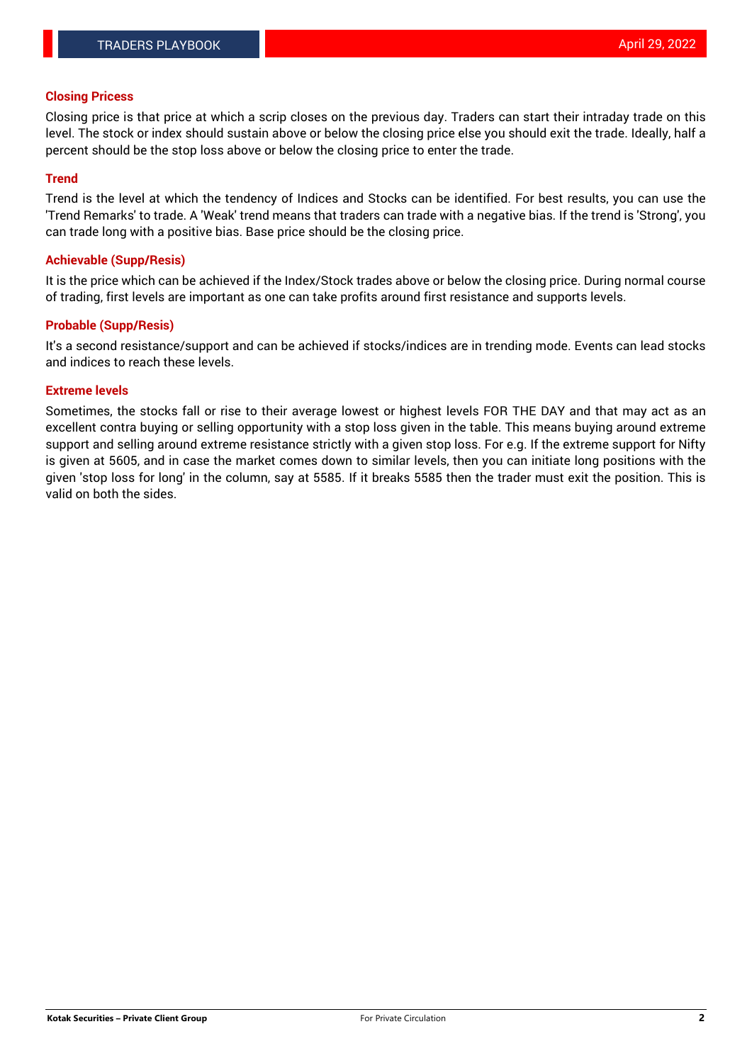#### **Closing Pricess**

Closing price is that price at which a scrip closes on the previous day. Traders can start their intraday trade on this level. The stock or index should sustain above or below the closing price else you should exit the trade. Ideally, half a percent should be the stop loss above or below the closing price to enter the trade.

### **Trend**

Trend is the level at which the tendency of Indices and Stocks can be identified. For best results, you can use the 'Trend Remarks' to trade. A 'Weak' trend means that traders can trade with a negative bias. If the trend is 'Strong', you can trade long with a positive bias. Base price should be the closing price.

#### **Achievable (Supp/Resis)**

It is the price which can be achieved if the Index/Stock trades above or below the closing price. During normal course of trading, first levels are important as one can take profits around first resistance and supports levels.

## **Probable (Supp/Resis)**

It's a second resistance/support and can be achieved if stocks/indices are in trending mode. Events can lead stocks and indices to reach these levels.

#### **Extreme levels**

Sometimes, the stocks fall or rise to their average lowest or highest levels FOR THE DAY and that may act as an excellent contra buying or selling opportunity with a stop loss given in the table. This means buying around extreme support and selling around extreme resistance strictly with a given stop loss. For e.g. If the extreme support for Nifty is given at 5605, and in case the market comes down to similar levels, then you can initiate long positions with the given 'stop loss for long' in the column, say at 5585. If it breaks 5585 then the trader must exit the position. This is valid on both the sides.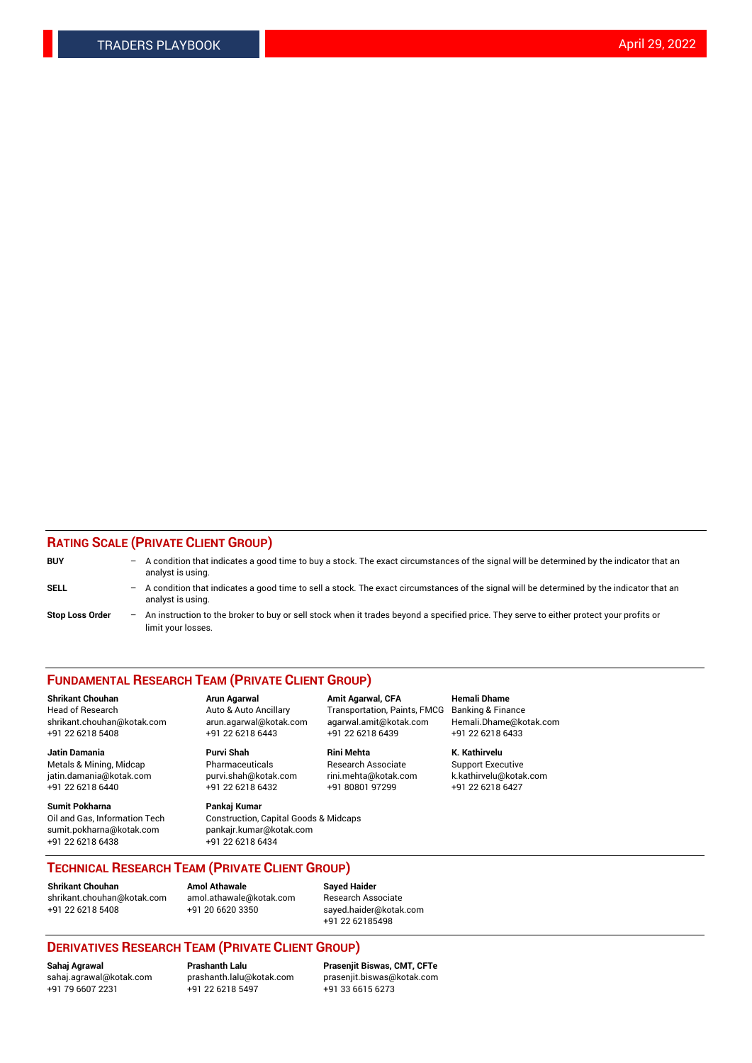## **RATING SCALE (PRIVATE CLIENT GROUP)**

| <b>BUY</b>             | -                 | A condition that indicates a good time to buy a stock. The exact circumstances of the signal will be determined by the indicator that an<br>analyst is using.  |
|------------------------|-------------------|----------------------------------------------------------------------------------------------------------------------------------------------------------------|
| SELL                   | -                 | A condition that indicates a good time to sell a stock. The exact circumstances of the signal will be determined by the indicator that an<br>analyst is using. |
| <b>Stop Loss Order</b> | $\qquad \qquad -$ | An instruction to the broker to buy or sell stock when it trades beyond a specified price. They serve to either protect your profits or<br>limit your losses.  |

#### **FUNDAMENTAL RESEARCH TEAM (PRIVATE CLIENT GROUP)**

**Shrikant Chouhan Arun Agarwal Amit Agarwal, CFA Hemali Dhame** Head of Research Auto & Auto Ancillary Transportation, Paints, FMCG Banking & Finance shrikant.chouhan@kotak.com arun.agarwal@kotak.com agarwal.amit@kotak.com Hemali.Dhame@kotak.com

**Jatin Damania Purvi Shah Rini Mehta K. Kathirvelu** Metals & Mining, Midcap **Pharmaceuticals** Research Associate Support Executive jatin.damania@kotak.com [purvi.shah@kotak.com](mailto:purvi.shah@kotak.com) rini.mehta@kotak.com [k.kathirvelu@kotak.com](mailto:k.kathirvelu@kotak.com)  $+91$  22 6218 6440  $+91$  22 6218 6432

**Sumit Pokharna Pankaj Kumar** sumit.pokharna@kotak.com pankajr.kumar@kotak.com +91 22 6218 6438 +91 22 6218 6434

Oil and Gas, Information Tech Construction, Capital Goods & Midcaps

+91 22 6218 5408 +91 22 6218 6443 +91 22 6218 6439 +91 22 6218 6433

**TECHNICAL RESEARCH TEAM (PRIVATE CLIENT GROUP)**

[shrikant.chouhan@kotak.com](mailto:shrikant.chouhan@kotak.com) [amol.athawale@kotak.com](mailto:amol.athawale@kotak.com) Research Associate +91 22 6218 5408 +91 20 6620 3350 [sayed.haider@kotak.com](mailto:sayed.haider@kotak.com)

**Shrikant Chouhan Amol Athawale Sayed Haider**

+91 22 62185498

# **DERIVATIVES RESEARCH TEAM (PRIVATE CLIENT GROUP)**

 $+91$  22 6218 5497

**Sahaj Agrawal Prashanth Lalu Prasenjit Biswas, CMT, CFTe** [sahaj.agrawal@kotak.com](mailto:sahaj.agrawal@kotak.com) [prashanth.lalu@kotak.com](mailto:prashanth.lalu@kotak.com) [prasenjit.biswas@kotak.com](mailto:prasenjit.biswas@kotak.com)